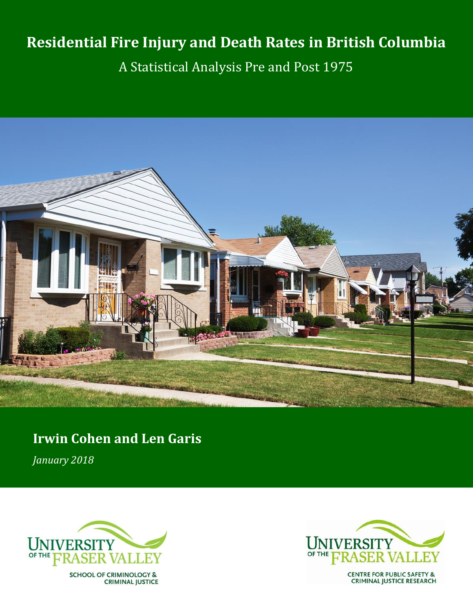# **Residential Fire Injury and Death Rates in British Columbia**

A Statistical Analysis Pre and Post 1975



## **Irwin Cohen and Len Garis** *January 2018*



**SCHOOL OF CRIMINOLOGY & CRIMINAL JUSTICE** 

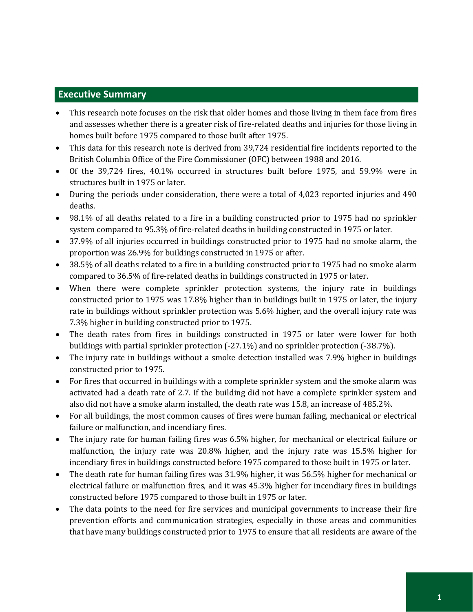## **Executive Summary**

- This research note focuses on the risk that older homes and those living in them face from fires and assesses whether there is a greater risk of fire-related deaths and injuries for those living in homes built before 1975 compared to those built after 1975.
- This data for this research note is derived from 39,724 residential fire incidents reported to the British Columbia Office of the Fire Commissioner (OFC) between 1988 and 2016.
- Of the 39,724 fires, 40.1% occurred in structures built before 1975, and 59.9% were in structures built in 1975 or later.
- During the periods under consideration, there were a total of 4,023 reported injuries and 490 deaths.
- 98.1% of all deaths related to a fire in a building constructed prior to 1975 had no sprinkler system compared to 95.3% of fire-related deaths in building constructed in 1975 or later.
- 37.9% of all injuries occurred in buildings constructed prior to 1975 had no smoke alarm, the proportion was 26.9% for buildings constructed in 1975 or after.
- 38.5% of all deaths related to a fire in a building constructed prior to 1975 had no smoke alarm compared to 36.5% of fire-related deaths in buildings constructed in 1975 or later.
- When there were complete sprinkler protection systems, the injury rate in buildings constructed prior to 1975 was 17.8% higher than in buildings built in 1975 or later, the injury rate in buildings without sprinkler protection was 5.6% higher, and the overall injury rate was 7.3% higher in building constructed prior to 1975.
- The death rates from fires in buildings constructed in 1975 or later were lower for both buildings with partial sprinkler protection (-27.1%) and no sprinkler protection (-38.7%).
- The injury rate in buildings without a smoke detection installed was 7.9% higher in buildings constructed prior to 1975.
- For fires that occurred in buildings with a complete sprinkler system and the smoke alarm was activated had a death rate of 2.7. If the building did not have a complete sprinkler system and also did not have a smoke alarm installed, the death rate was 15.8, an increase of 485.2%.
- For all buildings, the most common causes of fires were human failing, mechanical or electrical failure or malfunction, and incendiary fires.
- The injury rate for human failing fires was 6.5% higher, for mechanical or electrical failure or malfunction, the injury rate was 20.8% higher, and the injury rate was 15.5% higher for incendiary fires in buildings constructed before 1975 compared to those built in 1975 or later.
- The death rate for human failing fires was 31.9% higher, it was 56.5% higher for mechanical or electrical failure or malfunction fires, and it was 45.3% higher for incendiary fires in buildings constructed before 1975 compared to those built in 1975 or later.
- The data points to the need for fire services and municipal governments to increase their fire prevention efforts and communication strategies, especially in those areas and communities that have many buildings constructed prior to 1975 to ensure that all residents are aware of the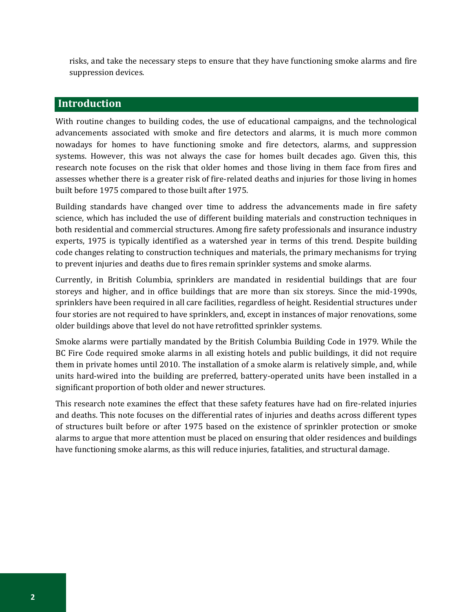risks, and take the necessary steps to ensure that they have functioning smoke alarms and fire suppression devices.

## **Introduction**

With routine changes to building codes, the use of educational campaigns, and the technological advancements associated with smoke and fire detectors and alarms, it is much more common nowadays for homes to have functioning smoke and fire detectors, alarms, and suppression systems. However, this was not always the case for homes built decades ago. Given this, this research note focuses on the risk that older homes and those living in them face from fires and assesses whether there is a greater risk of fire-related deaths and injuries for those living in homes built before 1975 compared to those built after 1975.

Building standards have changed over time to address the advancements made in fire safety science, which has included the use of different building materials and construction techniques in both residential and commercial structures. Among fire safety professionals and insurance industry experts, 1975 is typically identified as a watershed year in terms of this trend. Despite building code changes relating to construction techniques and materials, the primary mechanisms for trying to prevent injuries and deaths due to fires remain sprinkler systems and smoke alarms.

Currently, in British Columbia, sprinklers are mandated in residential buildings that are four storeys and higher, and in office buildings that are more than six storeys. Since the mid-1990s, sprinklers have been required in all care facilities, regardless of height. Residential structures under four stories are not required to have sprinklers, and, except in instances of major renovations, some older buildings above that level do not have retrofitted sprinkler systems.

Smoke alarms were partially mandated by the British Columbia Building Code in 1979. While the BC Fire Code required smoke alarms in all existing hotels and public buildings, it did not require them in private homes until 2010. The installation of a smoke alarm is relatively simple, and, while units hard-wired into the building are preferred, battery-operated units have been installed in a significant proportion of both older and newer structures.

This research note examines the effect that these safety features have had on fire-related injuries and deaths. This note focuses on the differential rates of injuries and deaths across different types of structures built before or after 1975 based on the existence of sprinkler protection or smoke alarms to argue that more attention must be placed on ensuring that older residences and buildings have functioning smoke alarms, as this will reduce injuries, fatalities, and structural damage.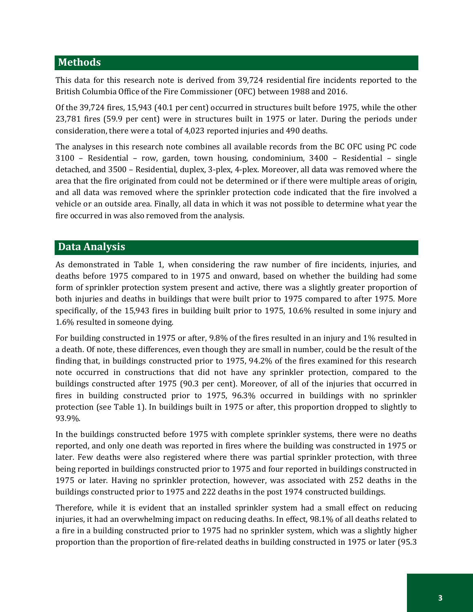## **Methods**

This data for this research note is derived from 39,724 residential fire incidents reported to the British Columbia Office of the Fire Commissioner (OFC) between 1988 and 2016.

Of the 39,724 fires, 15,943 (40.1 per cent) occurred in structures built before 1975, while the other 23,781 fires (59.9 per cent) were in structures built in 1975 or later. During the periods under consideration, there were a total of 4,023 reported injuries and 490 deaths.

The analyses in this research note combines all available records from the BC OFC using PC code 3100 – Residential – row, garden, town housing, condominium, 3400 – Residential – single detached, and 3500 – Residential, duplex, 3-plex, 4-plex. Moreover, all data was removed where the area that the fire originated from could not be determined or if there were multiple areas of origin, and all data was removed where the sprinkler protection code indicated that the fire involved a vehicle or an outside area. Finally, all data in which it was not possible to determine what year the fire occurred in was also removed from the analysis.

#### **Data Analysis**

As demonstrated in Table 1, when considering the raw number of fire incidents, injuries, and deaths before 1975 compared to in 1975 and onward, based on whether the building had some form of sprinkler protection system present and active, there was a slightly greater proportion of both injuries and deaths in buildings that were built prior to 1975 compared to after 1975. More specifically, of the 15,943 fires in building built prior to 1975, 10.6% resulted in some injury and 1.6% resulted in someone dying.

For building constructed in 1975 or after, 9.8% of the fires resulted in an injury and 1% resulted in a death. Of note, these differences, even though they are small in number, could be the result of the finding that, in buildings constructed prior to 1975, 94.2% of the fires examined for this research note occurred in constructions that did not have any sprinkler protection, compared to the buildings constructed after 1975 (90.3 per cent). Moreover, of all of the injuries that occurred in fires in building constructed prior to 1975, 96.3% occurred in buildings with no sprinkler protection (see Table 1). In buildings built in 1975 or after, this proportion dropped to slightly to 93.9%.

In the buildings constructed before 1975 with complete sprinkler systems, there were no deaths reported, and only one death was reported in fires where the building was constructed in 1975 or later. Few deaths were also registered where there was partial sprinkler protection, with three being reported in buildings constructed prior to 1975 and four reported in buildings constructed in 1975 or later. Having no sprinkler protection, however, was associated with 252 deaths in the buildings constructed prior to 1975 and 222 deaths in the post 1974 constructed buildings.

Therefore, while it is evident that an installed sprinkler system had a small effect on reducing injuries, it had an overwhelming impact on reducing deaths. In effect, 98.1% of all deaths related to a fire in a building constructed prior to 1975 had no sprinkler system, which was a slightly higher proportion than the proportion of fire-related deaths in building constructed in 1975 or later (95.3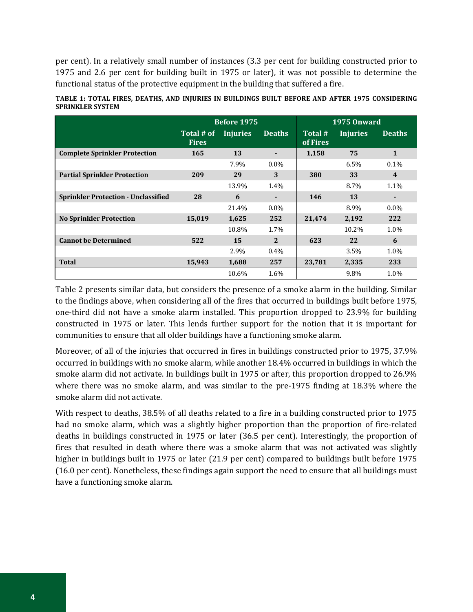per cent). In a relatively small number of instances (3.3 per cent for building constructed prior to 1975 and 2.6 per cent for building built in 1975 or later), it was not possible to determine the functional status of the protective equipment in the building that suffered a fire.

|                                            |                            | <b>Before 1975</b> |               | <b>1975 Onward</b>  |                 |               |  |
|--------------------------------------------|----------------------------|--------------------|---------------|---------------------|-----------------|---------------|--|
|                                            | Total # of<br><b>Fires</b> | <b>Injuries</b>    | <b>Deaths</b> | Total #<br>of Fires | <b>Injuries</b> | <b>Deaths</b> |  |
| <b>Complete Sprinkler Protection</b>       | 165                        | 13                 |               | 1,158               | 75              | $\mathbf{1}$  |  |
|                                            |                            | 7.9%               | $0.0\%$       |                     | 6.5%            | 0.1%          |  |
| <b>Partial Sprinkler Protection</b>        | 209                        | 29                 | 3             | 380                 | 33              | 4             |  |
|                                            |                            | 13.9%              | 1.4%          |                     | 8.7%            | 1.1%          |  |
| <b>Sprinkler Protection - Unclassified</b> | 28                         | 6                  |               | 146                 | 13              | ٠             |  |
|                                            |                            | 21.4%              | $0.0\%$       |                     | 8.9%            | $0.0\%$       |  |
| <b>No Sprinkler Protection</b>             | 15,019                     | 1,625              | 252           | 21,474              | 2,192           | 222           |  |
|                                            |                            | 10.8%              | 1.7%          |                     | 10.2%           | 1.0%          |  |
| <b>Cannot be Determined</b>                | 522                        | 15                 | 2             | 623                 | 22              | 6             |  |
|                                            |                            | 2.9%               | $0.4\%$       |                     | $3.5\%$         | 1.0%          |  |
| <b>Total</b>                               | 15,943                     | 1,688              | 257           | 23,781              | 2,335           | 233           |  |
|                                            |                            | 10.6%              | 1.6%          |                     | 9.8%            | 1.0%          |  |

|                         |  |  |  | TABLE 1: TOTAL FIRES. DEATHS. AND INIURIES IN BUILDINGS BUILT BEFORE AND AFTER 1975 CONSIDERING |  |  |  |  |
|-------------------------|--|--|--|-------------------------------------------------------------------------------------------------|--|--|--|--|
| <b>SPRINKLER SYSTEM</b> |  |  |  |                                                                                                 |  |  |  |  |

Table 2 presents similar data, but considers the presence of a smoke alarm in the building. Similar to the findings above, when considering all of the fires that occurred in buildings built before 1975, one-third did not have a smoke alarm installed. This proportion dropped to 23.9% for building constructed in 1975 or later. This lends further support for the notion that it is important for communities to ensure that all older buildings have a functioning smoke alarm.

Moreover, of all of the injuries that occurred in fires in buildings constructed prior to 1975, 37.9% occurred in buildings with no smoke alarm, while another 18.4% occurred in buildings in which the smoke alarm did not activate. In buildings built in 1975 or after, this proportion dropped to 26.9% where there was no smoke alarm, and was similar to the pre-1975 finding at 18.3% where the smoke alarm did not activate.

With respect to deaths, 38.5% of all deaths related to a fire in a building constructed prior to 1975 had no smoke alarm, which was a slightly higher proportion than the proportion of fire-related deaths in buildings constructed in 1975 or later (36.5 per cent). Interestingly, the proportion of fires that resulted in death where there was a smoke alarm that was not activated was slightly higher in buildings built in 1975 or later (21.9 per cent) compared to buildings built before 1975 (16.0 per cent). Nonetheless, these findings again support the need to ensure that all buildings must have a functioning smoke alarm.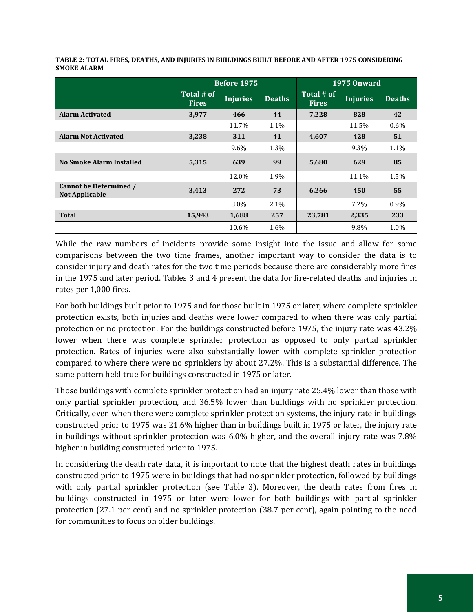|                                                 |                            | <b>Before 1975</b> |               | 1975 Onward                |                 |               |  |
|-------------------------------------------------|----------------------------|--------------------|---------------|----------------------------|-----------------|---------------|--|
|                                                 | Total # of<br><b>Fires</b> | <b>Injuries</b>    | <b>Deaths</b> | Total # of<br><b>Fires</b> | <b>Injuries</b> | <b>Deaths</b> |  |
| <b>Alarm Activated</b>                          | 3,977                      | 466                | 44            | 7,228                      | 828             | 42            |  |
|                                                 |                            | 11.7%              | 1.1%          |                            | 11.5%           | $0.6\%$       |  |
| <b>Alarm Not Activated</b>                      | 3,238                      | 311                | 41            | 4,607                      | 428             | 51            |  |
|                                                 |                            | 9.6%               | 1.3%          |                            | 9.3%            | 1.1%          |  |
| No Smoke Alarm Installed                        | 5,315                      | 639                | 99            | 5,680                      | 629             | 85            |  |
|                                                 |                            | 12.0%              | 1.9%          |                            | 11.1%           | 1.5%          |  |
| Cannot be Determined /<br><b>Not Applicable</b> | 3,413                      | 272                | 73            | 6,266                      | 450             | 55            |  |
|                                                 |                            | 8.0%               | $2.1\%$       |                            | 7.2%            | 0.9%          |  |
| <b>Total</b>                                    | 15,943                     | 1,688              | 257           | 23,781                     | 2,335           | 233           |  |
|                                                 |                            | 10.6%              | 1.6%          |                            | 9.8%            | 1.0%          |  |

**TABLE 2: TOTAL FIRES, DEATHS, AND INJURIES IN BUILDINGS BUILT BEFORE AND AFTER 1975 CONSIDERING SMOKE ALARM**

While the raw numbers of incidents provide some insight into the issue and allow for some comparisons between the two time frames, another important way to consider the data is to consider injury and death rates for the two time periods because there are considerably more fires in the 1975 and later period. Tables 3 and 4 present the data for fire-related deaths and injuries in rates per 1,000 fires.

For both buildings built prior to 1975 and for those built in 1975 or later, where complete sprinkler protection exists, both injuries and deaths were lower compared to when there was only partial protection or no protection. For the buildings constructed before 1975, the injury rate was 43.2% lower when there was complete sprinkler protection as opposed to only partial sprinkler protection. Rates of injuries were also substantially lower with complete sprinkler protection compared to where there were no sprinklers by about 27.2%. This is a substantial difference. The same pattern held true for buildings constructed in 1975 or later.

Those buildings with complete sprinkler protection had an injury rate 25.4% lower than those with only partial sprinkler protection, and 36.5% lower than buildings with no sprinkler protection. Critically, even when there were complete sprinkler protection systems, the injury rate in buildings constructed prior to 1975 was 21.6% higher than in buildings built in 1975 or later, the injury rate in buildings without sprinkler protection was 6.0% higher, and the overall injury rate was 7.8% higher in building constructed prior to 1975.

In considering the death rate data, it is important to note that the highest death rates in buildings constructed prior to 1975 were in buildings that had no sprinkler protection, followed by buildings with only partial sprinkler protection (see Table 3). Moreover, the death rates from fires in buildings constructed in 1975 or later were lower for both buildings with partial sprinkler protection (27.1 per cent) and no sprinkler protection (38.7 per cent), again pointing to the need for communities to focus on older buildings.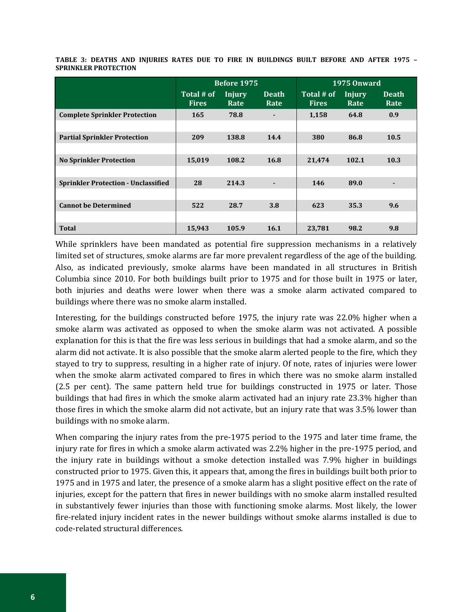|                                            |                            | <b>Before 1975</b> |                      | <b>1975 Onward</b>         |                       |                      |  |
|--------------------------------------------|----------------------------|--------------------|----------------------|----------------------------|-----------------------|----------------------|--|
|                                            | Total # of<br><b>Fires</b> | Injury<br>Rate     | <b>Death</b><br>Rate | Total # of<br><b>Fires</b> | <b>Injury</b><br>Rate | <b>Death</b><br>Rate |  |
| <b>Complete Sprinkler Protection</b>       | 165                        | 78.8               |                      | 1,158                      | 64.8                  | 0.9                  |  |
|                                            |                            |                    |                      |                            |                       |                      |  |
| <b>Partial Sprinkler Protection</b>        | 209                        | 138.8              | 14.4                 | 380                        | 86.8                  | 10.5                 |  |
|                                            |                            |                    |                      |                            |                       |                      |  |
| <b>No Sprinkler Protection</b>             | 15,019                     | 108.2              | 16.8                 | 21,474                     | 102.1                 | 10.3                 |  |
|                                            |                            |                    |                      |                            |                       |                      |  |
| <b>Sprinkler Protection - Unclassified</b> | 28                         | 214.3              |                      | 146                        | 89.0                  |                      |  |
|                                            |                            |                    |                      |                            |                       |                      |  |
| <b>Cannot be Determined</b>                | 522                        | 28.7               | 3.8                  | 623                        | 35.3                  | 9.6                  |  |
|                                            |                            |                    |                      |                            |                       |                      |  |
| <b>Total</b>                               | 15,943                     | 105.9              | 16.1                 | 23,781                     | 98.2                  | 9.8                  |  |

**TABLE 3: DEATHS AND INJURIES RATES DUE TO FIRE IN BUILDINGS BUILT BEFORE AND AFTER 1975 – SPRINKLER PROTECTION**

While sprinklers have been mandated as potential fire suppression mechanisms in a relatively limited set of structures, smoke alarms are far more prevalent regardless of the age of the building. Also, as indicated previously, smoke alarms have been mandated in all structures in British Columbia since 2010. For both buildings built prior to 1975 and for those built in 1975 or later, both injuries and deaths were lower when there was a smoke alarm activated compared to buildings where there was no smoke alarm installed.

Interesting, for the buildings constructed before 1975, the injury rate was 22.0% higher when a smoke alarm was activated as opposed to when the smoke alarm was not activated. A possible explanation for this is that the fire was less serious in buildings that had a smoke alarm, and so the alarm did not activate. It is also possible that the smoke alarm alerted people to the fire, which they stayed to try to suppress, resulting in a higher rate of injury. Of note, rates of injuries were lower when the smoke alarm activated compared to fires in which there was no smoke alarm installed (2.5 per cent). The same pattern held true for buildings constructed in 1975 or later. Those buildings that had fires in which the smoke alarm activated had an injury rate 23.3% higher than those fires in which the smoke alarm did not activate, but an injury rate that was 3.5% lower than buildings with no smoke alarm.

When comparing the injury rates from the pre-1975 period to the 1975 and later time frame, the injury rate for fires in which a smoke alarm activated was 2.2% higher in the pre-1975 period, and the injury rate in buildings without a smoke detection installed was 7.9% higher in buildings constructed prior to 1975. Given this, it appears that, among the fires in buildings built both prior to 1975 and in 1975 and later, the presence of a smoke alarm has a slight positive effect on the rate of injuries, except for the pattern that fires in newer buildings with no smoke alarm installed resulted in substantively fewer injuries than those with functioning smoke alarms. Most likely, the lower fire-related injury incident rates in the newer buildings without smoke alarms installed is due to code-related structural differences.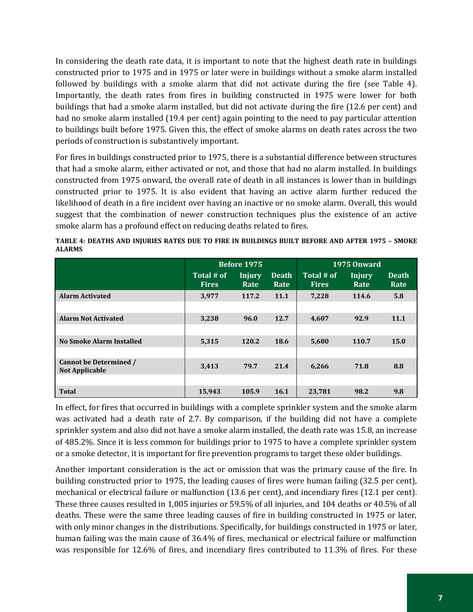In considering the death rate data, it is important to note that the highest death rate in buildings constructed prior to 1975 and in 1975 or later were in buildings without a smoke alarm installed followed by buildings with a smoke alarm that did not activate during the fire (see Table 4). Importantly, the death rates from fires in building constructed in 1975 were lower for both buildings that had a smoke alarm installed, but did not activate during the fire (12.6 per cent) and had no smoke alarm installed (19.4 per cent) again pointing to the need to pay particular attention to buildings built before 1975. Given this, the effect of smoke alarms on death rates across the two periods of construction is substantively important.

For fires in buildings constructed prior to 1975, there is a substantial difference between structures that had a smoke alarm, either activated or not, and those that had no alarm installed. In buildings constructed from 1975 onward, the overall rate of death in all instances is lower than in buildings constructed prior to 1975. It is also evident that having an active alarm further reduced the likelihood of death in a fire incident over having an inactive or no smoke alarm. Overall, this would suggest that the combination of newer construction techniques plus the existence of an active smoke alarm has a profound effect on reducing deaths related to fires.

|                                                        |                            | Before 1975           |                      | <b>1975 Onward</b>         |                |                      |  |
|--------------------------------------------------------|----------------------------|-----------------------|----------------------|----------------------------|----------------|----------------------|--|
|                                                        | Total # of<br><b>Fires</b> | <b>Injury</b><br>Rate | <b>Death</b><br>Rate | Total # of<br><b>Fires</b> | Injury<br>Rate | <b>Death</b><br>Rate |  |
| <b>Alarm Activated</b>                                 | 3,977                      | 117.2                 | 11.1                 | 7,228                      | 114.6          | 5.8                  |  |
| <b>Alarm Not Activated</b>                             | 3,238                      | 96.0                  | 12.7                 | 4,607                      | 92.9           | 11.1                 |  |
| <b>No Smoke Alarm Installed</b>                        | 5,315                      | 120.2                 | 18.6                 | 5,680                      | 110.7          | 15.0                 |  |
| <b>Cannot be Determined /</b><br><b>Not Applicable</b> | 3,413                      | 79.7                  | 21.4                 | 6,266                      | 71.8           | 8.8                  |  |
| <b>Total</b>                                           | 15,943                     | 105.9                 | <b>16.1</b>          | 23,781                     | 98.2           | 9.8                  |  |

**TABLE 4: DEATHS AND INJURIES RATES DUE TO FIRE IN BUILDINGS BUILT BEFORE AND AFTER 1975 – SMOKE ALARMS**

In effect, for fires that occurred in buildings with a complete sprinkler system and the smoke alarm was activated had a death rate of 2.7. By comparison, if the building did not have a complete sprinkler system and also did not have a smoke alarm installed, the death rate was 15.8, an increase of 485.2%. Since it is less common for buildings prior to 1975 to have a complete sprinkler system or a smoke detector, it is important for fire prevention programs to target these older buildings.

Another important consideration is the act or omission that was the primary cause of the fire. In building constructed prior to 1975, the leading causes of fires were human failing (32.5 per cent), mechanical or electrical failure or malfunction (13.6 per cent), and incendiary fires (12.1 per cent). These three causes resulted in 1,005 injuries or 59.5% of all injuries, and 104 deaths or 40.5% of all deaths. These were the same three leading causes of fire in building constructed in 1975 or later, with only minor changes in the distributions. Specifically, for buildings constructed in 1975 or later, human failing was the main cause of 36.4% of fires, mechanical or electrical failure or malfunction was responsible for 12.6% of fires, and incendiary fires contributed to 11.3% of fires. For these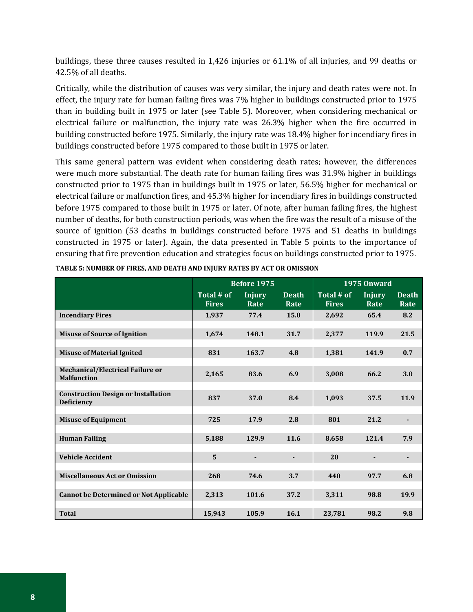buildings, these three causes resulted in 1,426 injuries or 61.1% of all injuries, and 99 deaths or 42.5% of all deaths.

Critically, while the distribution of causes was very similar, the injury and death rates were not. In effect, the injury rate for human failing fires was 7% higher in buildings constructed prior to 1975 than in building built in 1975 or later (see Table 5). Moreover, when considering mechanical or electrical failure or malfunction, the injury rate was 26.3% higher when the fire occurred in building constructed before 1975. Similarly, the injury rate was 18.4% higher for incendiary fires in buildings constructed before 1975 compared to those built in 1975 or later.

This same general pattern was evident when considering death rates; however, the differences were much more substantial. The death rate for human failing fires was 31.9% higher in buildings constructed prior to 1975 than in buildings built in 1975 or later, 56.5% higher for mechanical or electrical failure or malfunction fires, and 45.3% higher for incendiary fires in buildings constructed before 1975 compared to those built in 1975 or later. Of note, after human failing fires, the highest number of deaths, for both construction periods, was when the fire was the result of a misuse of the source of ignition (53 deaths in buildings constructed before 1975 and 51 deaths in buildings constructed in 1975 or later). Again, the data presented in Table 5 points to the importance of ensuring that fire prevention education and strategies focus on buildings constructed prior to 1975.

|                                                                 |                            | <b>Before 1975</b>    |                      | <b>1975 Onward</b>         |                       |                      |  |
|-----------------------------------------------------------------|----------------------------|-----------------------|----------------------|----------------------------|-----------------------|----------------------|--|
|                                                                 | Total # of<br><b>Fires</b> | <b>Injury</b><br>Rate | <b>Death</b><br>Rate | Total # of<br><b>Fires</b> | <b>Injury</b><br>Rate | <b>Death</b><br>Rate |  |
| <b>Incendiary Fires</b>                                         | 1,937                      | 77.4                  | 15.0                 | 2,692                      | 65.4                  | 8.2                  |  |
| <b>Misuse of Source of Ignition</b>                             | 1,674                      | 148.1                 | 31.7                 | 2,377                      | 119.9                 | 21.5                 |  |
| <b>Misuse of Material Ignited</b>                               | 831                        | 163.7                 | 4.8                  | 1,381                      | 141.9                 | 0.7                  |  |
| Mechanical/Electrical Failure or<br><b>Malfunction</b>          | 2,165                      | 83.6                  | 6.9                  | 3.008                      | 66.2                  | 3.0                  |  |
| <b>Construction Design or Installation</b><br><b>Deficiency</b> | 837                        | 37.0                  | 8.4                  | 1,093                      | 37.5                  | 11.9                 |  |
| <b>Misuse of Equipment</b>                                      | 725                        | 17.9                  | 2.8                  | 801                        | 21.2                  |                      |  |
| <b>Human Failing</b>                                            | 5,188                      | 129.9                 | 11.6                 | 8,658                      | 121.4                 | 7.9                  |  |
| <b>Vehicle Accident</b>                                         | $\overline{5}$             |                       | ٠                    | 20                         |                       |                      |  |
| <b>Miscellaneous Act or Omission</b>                            | 268                        | 74.6                  | 3.7                  | 440                        | 97.7                  | 6.8                  |  |
| <b>Cannot be Determined or Not Applicable</b>                   | 2,313                      | 101.6                 | 37.2                 | 3,311                      | 98.8                  | 19.9                 |  |
| <b>Total</b>                                                    | 15,943                     | 105.9                 | 16.1                 | 23,781                     | 98.2                  | 9.8                  |  |

| TABLE 5: NUMBER OF FIRES, AND DEATH AND INJURY RATES BY ACT OR OMISSION |  |  |  |
|-------------------------------------------------------------------------|--|--|--|
|                                                                         |  |  |  |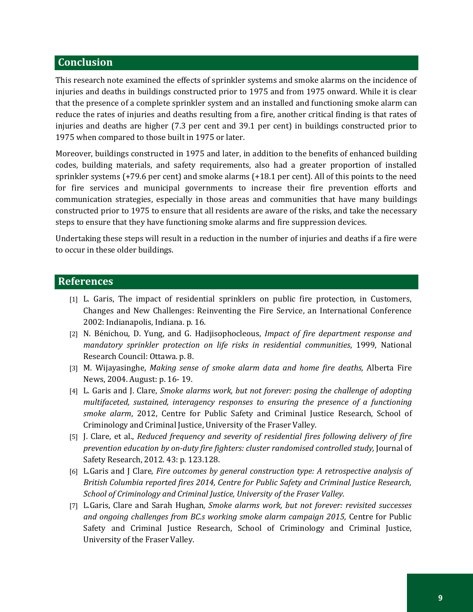#### **Conclusion**

This research note examined the effects of sprinkler systems and smoke alarms on the incidence of injuries and deaths in buildings constructed prior to 1975 and from 1975 onward. While it is clear that the presence of a complete sprinkler system and an installed and functioning smoke alarm can reduce the rates of injuries and deaths resulting from a fire, another critical finding is that rates of injuries and deaths are higher (7.3 per cent and 39.1 per cent) in buildings constructed prior to 1975 when compared to those built in 1975 or later.

Moreover, buildings constructed in 1975 and later, in addition to the benefits of enhanced building codes, building materials, and safety requirements, also had a greater proportion of installed sprinkler systems (+79.6 per cent) and smoke alarms (+18.1 per cent). All of this points to the need for fire services and municipal governments to increase their fire prevention efforts and communication strategies, especially in those areas and communities that have many buildings constructed prior to 1975 to ensure that all residents are aware of the risks, and take the necessary steps to ensure that they have functioning smoke alarms and fire suppression devices.

Undertaking these steps will result in a reduction in the number of injuries and deaths if a fire were to occur in these older buildings.

#### **References**

- [1] L. Garis, The impact of residential sprinklers on public fire protection, in Customers, Changes and New Challenges: Reinventing the Fire Service, an International Conference 2002: Indianapolis, Indiana. p. 16.
- [2] N. Bénichou, D. Yung, and G. Hadjisophocleous, *Impact of fire department response and mandatory sprinkler protection on life risks in residential communities*, 1999, National Research Council: Ottawa. p. 8.
- [3] M. Wijayasinghe, *Making sense of smoke alarm data and home fire deaths,* Alberta Fire News, 2004. August: p. 16- 19.
- [4] L. Garis and J. Clare, *Smoke alarms work, but not forever: posing the challenge of adopting multifaceted, sustained, interagency responses to ensuring the presence of a functioning smoke alarm*, 2012, Centre for Public Safety and Criminal Justice Research, School of Criminology and Criminal Justice, University of the Fraser Valley.
- [5] J. Clare, et al., *Reduced frequency and severity of residential fires following delivery of fire prevention education by on-duty fire fighters: cluster randomised controlled study,* Journal of Safety Research, 2012. 43: p. 123.128.
- [6] L.Garis and J Clare, *Fire outcomes by general construction type: A retrospective analysis of British Columbia reported fires 2014, Centre for Public Safety and Criminal Justice Research, School of Criminology and Criminal Justice, University of the Fraser Valley.*
- [7] L.Garis, Clare and Sarah Hughan*, Smoke alarms work, but not forever: revisited successes*  and ongoing challenges from BC.s working smoke alarm campaign 2015, Centre for Public Safety and Criminal Justice Research, School of Criminology and Criminal Justice, University of the Fraser Valley.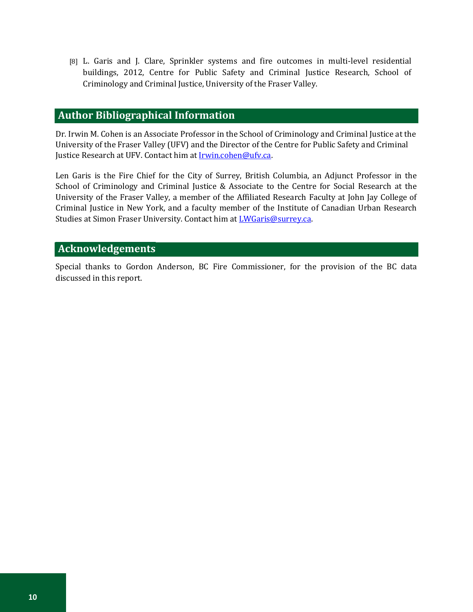[8] L. Garis and J. Clare, Sprinkler systems and fire outcomes in multi-level residential buildings, 2012, Centre for Public Safety and Criminal Justice Research, School of Criminology and Criminal Justice, University of the Fraser Valley.

## **Author Bibliographical Information**

Dr. Irwin M. Cohen is an Associate Professor in the School of Criminology and Criminal Justice at the University of the Fraser Valley (UFV) and the Director of the Centre for Public Safety and Criminal Justice Research at UFV. Contact him at **Irwin.cohen@ufv.ca**.

Len Garis is the Fire Chief for the City of Surrey, British Columbia, an Adjunct Professor in the School of Criminology and Criminal Justice & Associate to the Centre for Social Research at the University of the Fraser Valley, a member of the Affiliated Research Faculty at John Jay College of Criminal Justice in New York, and a faculty member of the Institute of Canadian Urban Research Studies at Simon Fraser University. Contact him at **[LWGaris@surrey.ca.](mailto:LWGaris@surrey.ca)** 

#### **Acknowledgements**

Special thanks to Gordon Anderson, BC Fire Commissioner, for the provision of the BC data discussed in this report.